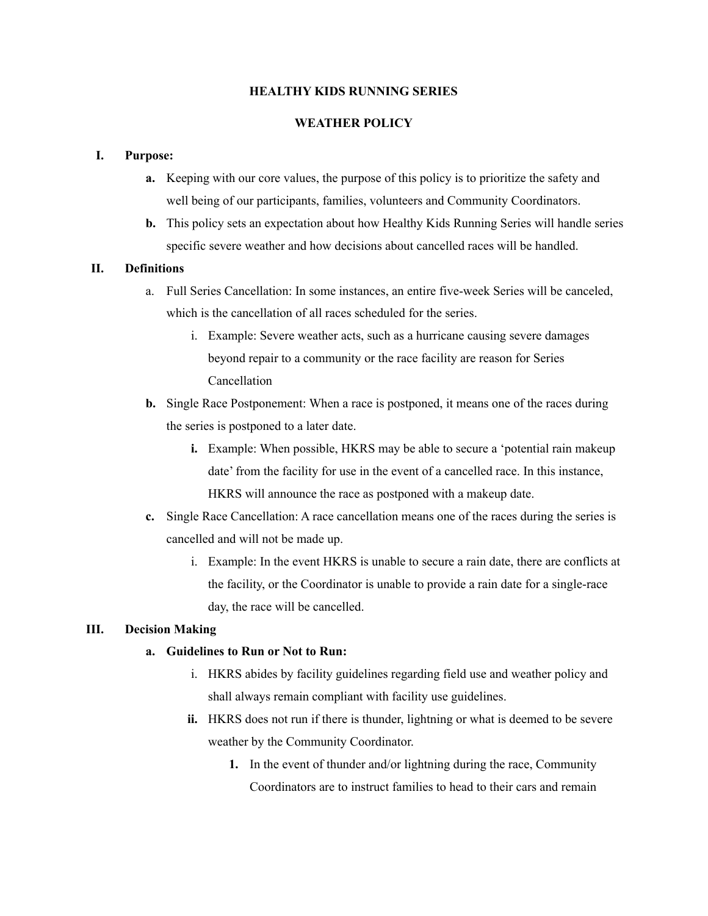## **HEALTHY KIDS RUNNING SERIES**

## **WEATHER POLICY**

## **I. Purpose:**

- **a.** Keeping with our core values, the purpose of this policy is to prioritize the safety and well being of our participants, families, volunteers and Community Coordinators.
- **b.** This policy sets an expectation about how Healthy Kids Running Series will handle series specific severe weather and how decisions about cancelled races will be handled.

# **II. Definitions**

- a. Full Series Cancellation: In some instances, an entire five-week Series will be canceled, which is the cancellation of all races scheduled for the series.
	- i. Example: Severe weather acts, such as a hurricane causing severe damages beyond repair to a community or the race facility are reason for Series Cancellation
- **b.** Single Race Postponement: When a race is postponed, it means one of the races during the series is postponed to a later date.
	- **i.** Example: When possible, HKRS may be able to secure a 'potential rain makeup date' from the facility for use in the event of a cancelled race. In this instance, HKRS will announce the race as postponed with a makeup date.
- **c.** Single Race Cancellation: A race cancellation means one of the races during the series is cancelled and will not be made up.
	- i. Example: In the event HKRS is unable to secure a rain date, there are conflicts at the facility, or the Coordinator is unable to provide a rain date for a single-race day, the race will be cancelled.

# **III. Decision Making**

## **a. Guidelines to Run or Not to Run:**

- i. HKRS abides by facility guidelines regarding field use and weather policy and shall always remain compliant with facility use guidelines.
- **ii.** HKRS does not run if there is thunder, lightning or what is deemed to be severe weather by the Community Coordinator.
	- **1.** In the event of thunder and/or lightning during the race, Community Coordinators are to instruct families to head to their cars and remain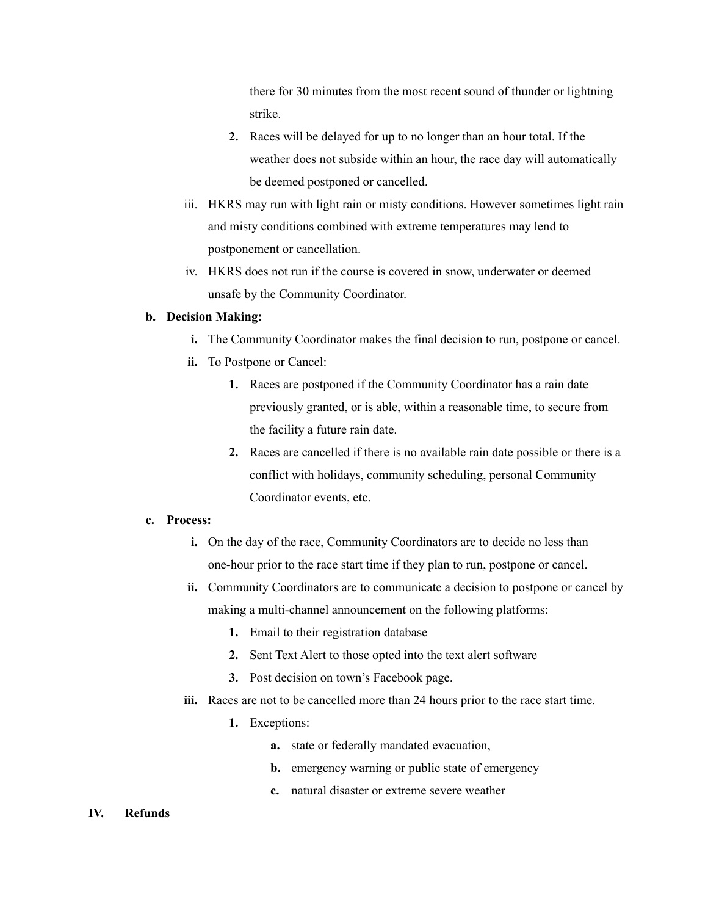there for 30 minutes from the most recent sound of thunder or lightning strike.

- **2.** Races will be delayed for up to no longer than an hour total. If the weather does not subside within an hour, the race day will automatically be deemed postponed or cancelled.
- iii. HKRS may run with light rain or misty conditions. However sometimes light rain and misty conditions combined with extreme temperatures may lend to postponement or cancellation.
- iv. HKRS does not run if the course is covered in snow, underwater or deemed unsafe by the Community Coordinator.

## **b. Decision Making:**

- **i.** The Community Coordinator makes the final decision to run, postpone or cancel.
- **ii.** To Postpone or Cancel:
	- **1.** Races are postponed if the Community Coordinator has a rain date previously granted, or is able, within a reasonable time, to secure from the facility a future rain date.
	- **2.** Races are cancelled if there is no available rain date possible or there is a conflict with holidays, community scheduling, personal Community Coordinator events, etc.

#### **c. Process:**

- **i.** On the day of the race, Community Coordinators are to decide no less than one-hour prior to the race start time if they plan to run, postpone or cancel.
- **ii.** Community Coordinators are to communicate a decision to postpone or cancel by making a multi-channel announcement on the following platforms:
	- **1.** Email to their registration database
	- **2.** Sent Text Alert to those opted into the text alert software
	- **3.** Post decision on town's Facebook page.
- **iii.** Races are not to be cancelled more than 24 hours prior to the race start time.
	- **1.** Exceptions:
		- **a.** state or federally mandated evacuation,
		- **b.** emergency warning or public state of emergency
		- **c.** natural disaster or extreme severe weather

## **IV. Refunds**